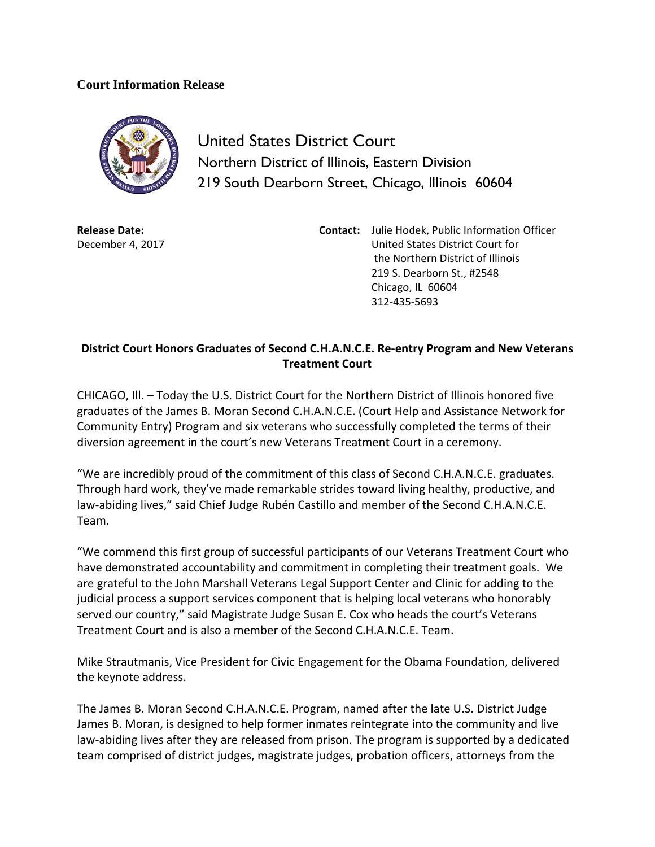## **Court Information Release**



United States District Court Northern District of Illinois, Eastern Division 219 South Dearborn Street, Chicago, Illinois 60604

**Release Date:** December 4, 2017 **Contact:** Julie Hodek, Public Information Officer United States District Court for the Northern District of Illinois 219 S. Dearborn St., #2548 Chicago, IL 60604 312-435-5693

## **District Court Honors Graduates of Second C.H.A.N.C.E. Re-entry Program and New Veterans Treatment Court**

CHICAGO, Ill. – Today the U.S. District Court for the Northern District of Illinois honored five graduates of the James B. Moran Second C.H.A.N.C.E. (Court Help and Assistance Network for Community Entry) Program and six veterans who successfully completed the terms of their diversion agreement in the court's new Veterans Treatment Court in a ceremony.

"We are incredibly proud of the commitment of this class of Second C.H.A.N.C.E. graduates. Through hard work, they've made remarkable strides toward living healthy, productive, and law-abiding lives," said Chief Judge Rubén Castillo and member of the Second C.H.A.N.C.E. Team.

"We commend this first group of successful participants of our Veterans Treatment Court who have demonstrated accountability and commitment in completing their treatment goals. We are grateful to the John Marshall Veterans Legal Support Center and Clinic for adding to the judicial process a support services component that is helping local veterans who honorably served our country," said Magistrate Judge Susan E. Cox who heads the court's Veterans Treatment Court and is also a member of the Second C.H.A.N.C.E. Team.

Mike Strautmanis, Vice President for Civic Engagement for the Obama Foundation, delivered the keynote address.

The James B. Moran Second C.H.A.N.C.E. Program, named after the late U.S. District Judge James B. Moran, is designed to help former inmates reintegrate into the community and live law-abiding lives after they are released from prison. The program is supported by a dedicated team comprised of district judges, magistrate judges, probation officers, attorneys from the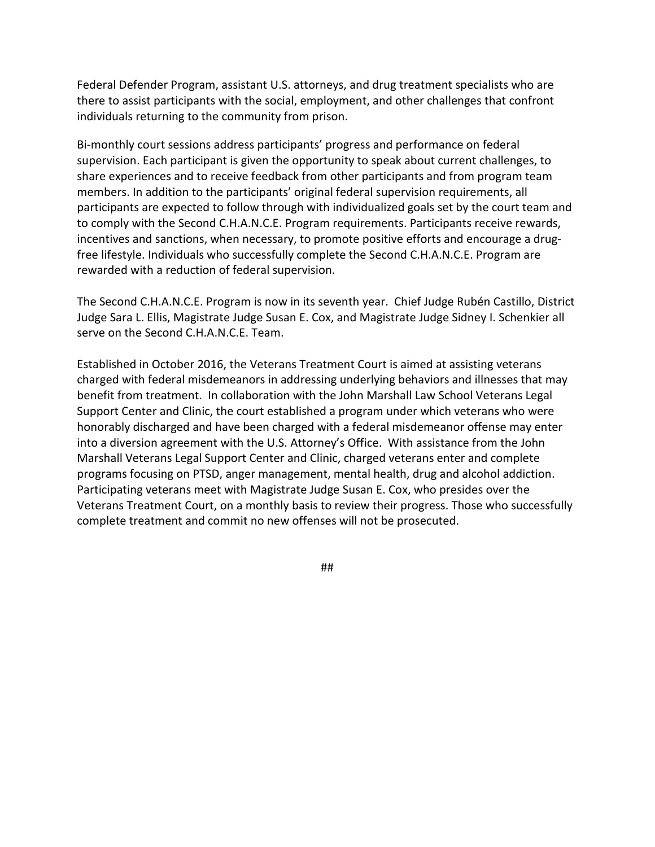Federal Defender Program, assistant U.S. attorneys, and drug treatment specialists who are there to assist participants with the social, employment, and other challenges that confront individuals returning to the community from prison.

Bi-monthly court sessions address participants' progress and performance on federal supervision. Each participant is given the opportunity to speak about current challenges, to share experiences and to receive feedback from other participants and from program team members. In addition to the participants' original federal supervision requirements, all participants are expected to follow through with individualized goals set by the court team and to comply with the Second C.H.A.N.C.E. Program requirements. Participants receive rewards, incentives and sanctions, when necessary, to promote positive efforts and encourage a drugfree lifestyle. Individuals who successfully complete the Second C.H.A.N.C.E. Program are rewarded with a reduction of federal supervision.

The Second C.H.A.N.C.E. Program is now in its seventh year. Chief Judge Rubén Castillo, District Judge Sara L. Ellis, Magistrate Judge Susan E. Cox, and Magistrate Judge Sidney I. Schenkier all serve on the Second C.H.A.N.C.E. Team.

Established in October 2016, the Veterans Treatment Court is aimed at assisting veterans charged with federal misdemeanors in addressing underlying behaviors and illnesses that may benefit from treatment. In collaboration with the John Marshall Law School Veterans Legal Support Center and Clinic, the court established a program under which veterans who were honorably discharged and have been charged with a federal misdemeanor offense may enter into a diversion agreement with the U.S. Attorney's Office. With assistance from the John Marshall Veterans Legal Support Center and Clinic, charged veterans enter and complete programs focusing on PTSD, anger management, mental health, drug and alcohol addiction. Participating veterans meet with Magistrate Judge Susan E. Cox, who presides over the Veterans Treatment Court, on a monthly basis to review their progress. Those who successfully complete treatment and commit no new offenses will not be prosecuted.

##